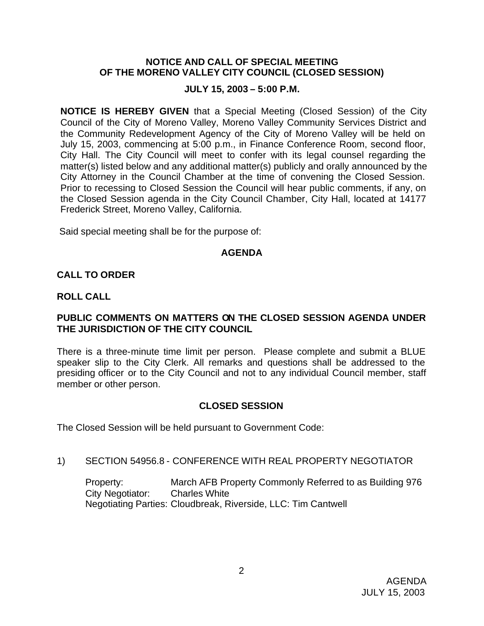### **NOTICE AND CALL OF SPECIAL MEETING OF THE MORENO VALLEY CITY COUNCIL (CLOSED SESSION)**

### **JULY 15, 2003 – 5:00 P.M.**

**NOTICE IS HEREBY GIVEN** that a Special Meeting (Closed Session) of the City Council of the City of Moreno Valley, Moreno Valley Community Services District and the Community Redevelopment Agency of the City of Moreno Valley will be held on July 15, 2003, commencing at 5:00 p.m., in Finance Conference Room, second floor, City Hall. The City Council will meet to confer with its legal counsel regarding the matter(s) listed below and any additional matter(s) publicly and orally announced by the City Attorney in the Council Chamber at the time of convening the Closed Session. Prior to recessing to Closed Session the Council will hear public comments, if any, on the Closed Session agenda in the City Council Chamber, City Hall, located at 14177 Frederick Street, Moreno Valley, California.

Said special meeting shall be for the purpose of:

#### **AGENDA**

## **CALL TO ORDER**

#### **ROLL CALL**

## **PUBLIC COMMENTS ON MATTERS ON THE CLOSED SESSION AGENDA UNDER THE JURISDICTION OF THE CITY COUNCIL**

There is a three-minute time limit per person. Please complete and submit a BLUE speaker slip to the City Clerk. All remarks and questions shall be addressed to the presiding officer or to the City Council and not to any individual Council member, staff member or other person.

## **CLOSED SESSION**

The Closed Session will be held pursuant to Government Code:

1) SECTION 54956.8 - CONFERENCE WITH REAL PROPERTY NEGOTIATOR

Property: March AFB Property Commonly Referred to as Building 976 City Negotiator: Charles White Negotiating Parties: Cloudbreak, Riverside, LLC: Tim Cantwell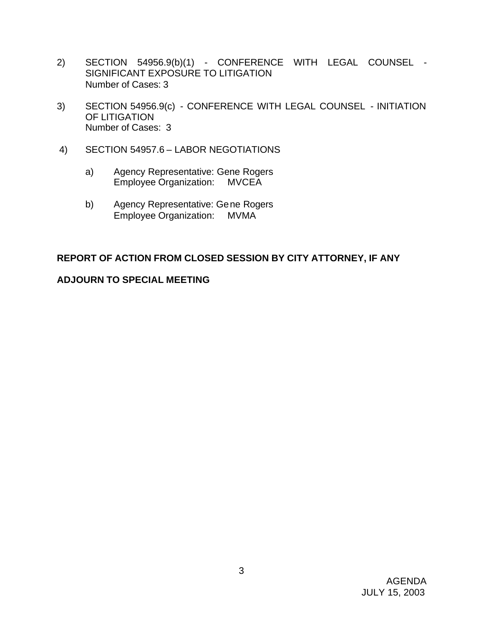- 2) SECTION 54956.9(b)(1) CONFERENCE WITH LEGAL COUNSEL SIGNIFICANT EXPOSURE TO LITIGATION Number of Cases: 3
- 3) SECTION 54956.9(c) CONFERENCE WITH LEGAL COUNSEL INITIATION OF LITIGATION Number of Cases: 3
- 4) SECTION 54957.6 LABOR NEGOTIATIONS
	- a) Agency Representative: Gene Rogers Employee Organization: MVCEA
	- b) Agency Representative: Gene Rogers Employee Organization: MVMA

# **REPORT OF ACTION FROM CLOSED SESSION BY CITY ATTORNEY, IF ANY**

## **ADJOURN TO SPECIAL MEETING**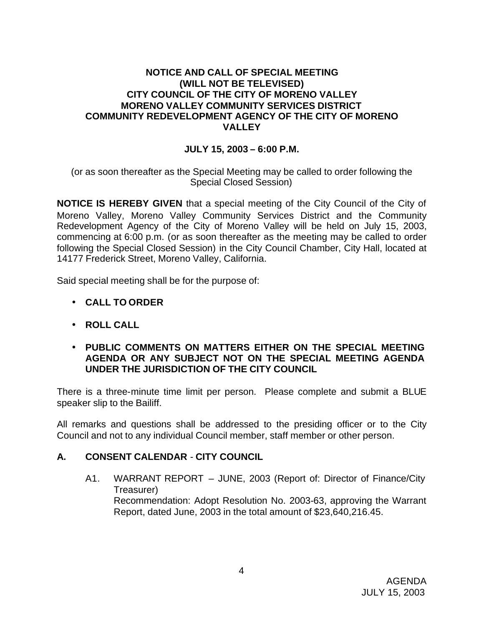## **NOTICE AND CALL OF SPECIAL MEETING (WILL NOT BE TELEVISED) CITY COUNCIL OF THE CITY OF MORENO VALLEY MORENO VALLEY COMMUNITY SERVICES DISTRICT COMMUNITY REDEVELOPMENT AGENCY OF THE CITY OF MORENO VALLEY**

## **JULY 15, 2003 – 6:00 P.M.**

(or as soon thereafter as the Special Meeting may be called to order following the Special Closed Session)

**NOTICE IS HEREBY GIVEN** that a special meeting of the City Council of the City of Moreno Valley, Moreno Valley Community Services District and the Community Redevelopment Agency of the City of Moreno Valley will be held on July 15, 2003, commencing at 6:00 p.m. (or as soon thereafter as the meeting may be called to order following the Special Closed Session) in the City Council Chamber, City Hall, located at 14177 Frederick Street, Moreno Valley, California.

Said special meeting shall be for the purpose of:

- **CALL TO ORDER**
- **ROLL CALL**
- **PUBLIC COMMENTS ON MATTERS EITHER ON THE SPECIAL MEETING AGENDA OR ANY SUBJECT NOT ON THE SPECIAL MEETING AGENDA UNDER THE JURISDICTION OF THE CITY COUNCIL**

There is a three-minute time limit per person. Please complete and submit a BLUE speaker slip to the Bailiff.

All remarks and questions shall be addressed to the presiding officer or to the City Council and not to any individual Council member, staff member or other person.

## **A. CONSENT CALENDAR** - **CITY COUNCIL**

A1. WARRANT REPORT – JUNE, 2003 (Report of: Director of Finance/City Treasurer) Recommendation: Adopt Resolution No. 2003-63, approving the Warrant Report, dated June, 2003 in the total amount of \$23,640,216.45.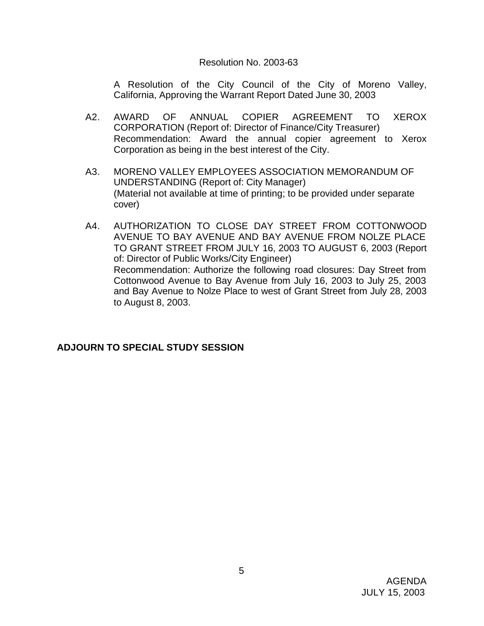## Resolution No. 2003-63

A Resolution of the City Council of the City of Moreno Valley, California, Approving the Warrant Report Dated June 30, 2003

- A2. AWARD OF ANNUAL COPIER AGREEMENT TO XEROX CORPORATION (Report of: Director of Finance/City Treasurer) Recommendation: Award the annual copier agreement to Xerox Corporation as being in the best interest of the City.
- A3. MORENO VALLEY EMPLOYEES ASSOCIATION MEMORANDUM OF UNDERSTANDING (Report of: City Manager) (Material not available at time of printing; to be provided under separate cover)
- A4. AUTHORIZATION TO CLOSE DAY STREET FROM COTTONWOOD AVENUE TO BAY AVENUE AND BAY AVENUE FROM NOLZE PLACE TO GRANT STREET FROM JULY 16, 2003 TO AUGUST 6, 2003 (Report of: Director of Public Works/City Engineer) Recommendation: Authorize the following road closures: Day Street from Cottonwood Avenue to Bay Avenue from July 16, 2003 to July 25, 2003 and Bay Avenue to Nolze Place to west of Grant Street from July 28, 2003 to August 8, 2003.

# **ADJOURN TO SPECIAL STUDY SESSION**